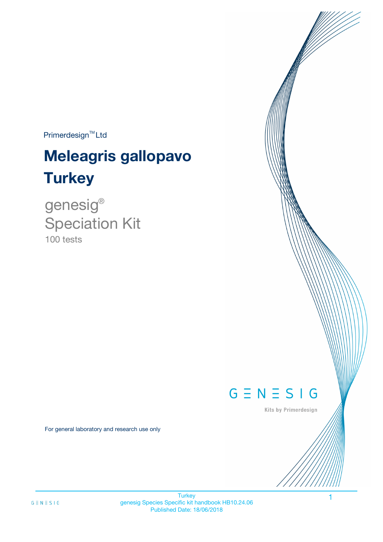$Primerdesign^{\text{TM}}$ Ltd

# **Meleagris gallopavo Turkey**

100 tests genesig ® Speciation Kit



Kits by Primerdesign

1

For general laboratory and research use only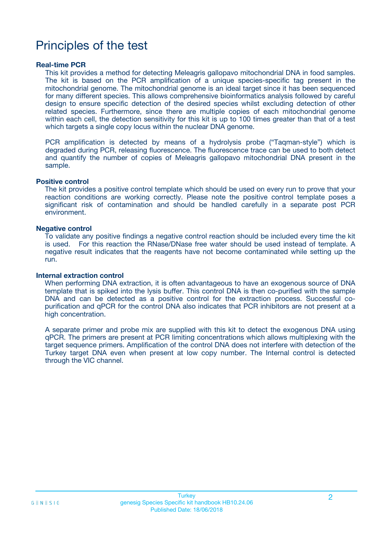# Principles of the test

### **Real-time PCR**

This kit provides a method for detecting Meleagris gallopavo mitochondrial DNA in food samples. The kit is based on the PCR amplification of a unique species-specific tag present in the mitochondrial genome. The mitochondrial genome is an ideal target since it has been sequenced for many different species. This allows comprehensive bioinformatics analysis followed by careful design to ensure specific detection of the desired species whilst excluding detection of other related species. Furthermore, since there are multiple copies of each mitochondrial genome within each cell, the detection sensitivity for this kit is up to 100 times greater than that of a test which targets a single copy locus within the nuclear DNA genome.

PCR amplification is detected by means of a hydrolysis probe ("Taqman-style") which is degraded during PCR, releasing fluorescence. The fluorescence trace can be used to both detect and quantify the number of copies of Meleagris gallopavo mitochondrial DNA present in the sample.

### **Positive control**

The kit provides a positive control template which should be used on every run to prove that your reaction conditions are working correctly. Please note the positive control template poses a significant risk of contamination and should be handled carefully in a separate post PCR environment.

### **Negative control**

To validate any positive findings a negative control reaction should be included every time the kit is used. For this reaction the RNase/DNase free water should be used instead of template. A negative result indicates that the reagents have not become contaminated while setting up the run.

### **Internal extraction control**

When performing DNA extraction, it is often advantageous to have an exogenous source of DNA template that is spiked into the lysis buffer. This control DNA is then co-purified with the sample DNA and can be detected as a positive control for the extraction process. Successful copurification and qPCR for the control DNA also indicates that PCR inhibitors are not present at a high concentration.

A separate primer and probe mix are supplied with this kit to detect the exogenous DNA using qPCR. The primers are present at PCR limiting concentrations which allows multiplexing with the target sequence primers. Amplification of the control DNA does not interfere with detection of the Turkey target DNA even when present at low copy number. The Internal control is detected through the VIC channel.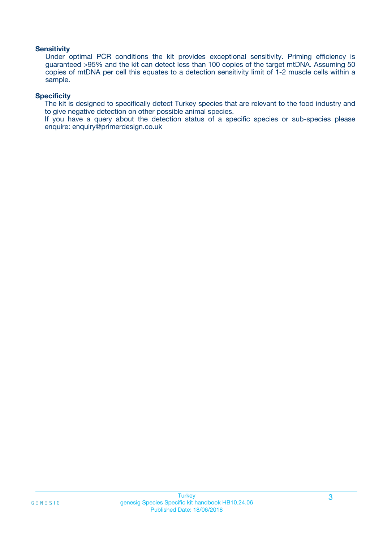### **Sensitivity**

Under optimal PCR conditions the kit provides exceptional sensitivity. Priming efficiency is guaranteed >95% and the kit can detect less than 100 copies of the target mtDNA. Assuming 50 copies of mtDNA per cell this equates to a detection sensitivity limit of 1-2 muscle cells within a sample.

### **Specificity**

The kit is designed to specifically detect Turkey species that are relevant to the food industry and to give negative detection on other possible animal species.

If you have a query about the detection status of a specific species or sub-species please enquire: enquiry@primerdesign.co.uk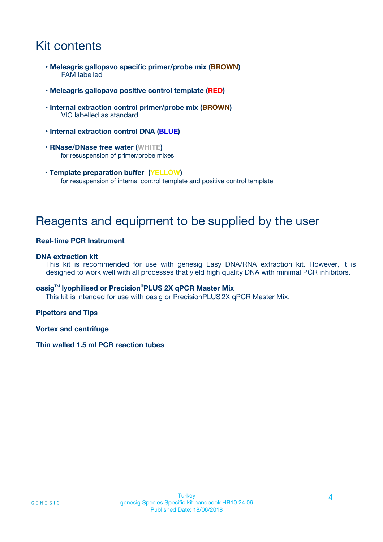# Kit contents

- **Meleagris gallopavo specific primer/probe mix (BROWN)** FAM labelled
- **Meleagris gallopavo positive control template (RED)**
- **Internal extraction control primer/probe mix (BROWN)** VIC labelled as standard
- **Internal extraction control DNA (BLUE)**
- **RNase/DNase free water (WHITE)** for resuspension of primer/probe mixes
- **Template preparation buffer (YELLOW)** for resuspension of internal control template and positive control template

# Reagents and equipment to be supplied by the user

### **Real-time PCR Instrument**

### **DNA extraction kit**

This kit is recommended for use with genesig Easy DNA/RNA extraction kit. However, it is designed to work well with all processes that yield high quality DNA with minimal PCR inhibitors.

### **oasig**TM **lyophilised or Precision**®**PLUS 2X qPCR Master Mix**

This kit is intended for use with oasig or PrecisionPLUS2X qPCR Master Mix.

### **Pipettors and Tips**

**Vortex and centrifuge**

### **Thin walled 1.5 ml PCR reaction tubes**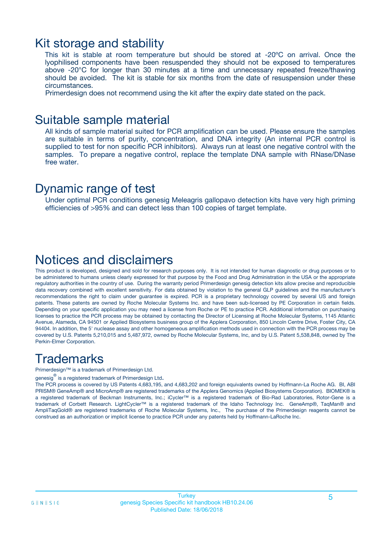### Kit storage and stability

This kit is stable at room temperature but should be stored at -20ºC on arrival. Once the lyophilised components have been resuspended they should not be exposed to temperatures above -20°C for longer than 30 minutes at a time and unnecessary repeated freeze/thawing should be avoided. The kit is stable for six months from the date of resuspension under these circumstances.

Primerdesign does not recommend using the kit after the expiry date stated on the pack.

### Suitable sample material

All kinds of sample material suited for PCR amplification can be used. Please ensure the samples are suitable in terms of purity, concentration, and DNA integrity (An internal PCR control is supplied to test for non specific PCR inhibitors). Always run at least one negative control with the samples. To prepare a negative control, replace the template DNA sample with RNase/DNase free water.

### Dynamic range of test

Under optimal PCR conditions genesig Meleagris gallopavo detection kits have very high priming efficiencies of >95% and can detect less than 100 copies of target template.

# Notices and disclaimers

This product is developed, designed and sold for research purposes only. It is not intended for human diagnostic or drug purposes or to be administered to humans unless clearly expressed for that purpose by the Food and Drug Administration in the USA or the appropriate regulatory authorities in the country of use. During the warranty period Primerdesign genesig detection kits allow precise and reproducible data recovery combined with excellent sensitivity. For data obtained by violation to the general GLP guidelines and the manufacturer's recommendations the right to claim under guarantee is expired. PCR is a proprietary technology covered by several US and foreign patents. These patents are owned by Roche Molecular Systems Inc. and have been sub-licensed by PE Corporation in certain fields. Depending on your specific application you may need a license from Roche or PE to practice PCR. Additional information on purchasing licenses to practice the PCR process may be obtained by contacting the Director of Licensing at Roche Molecular Systems, 1145 Atlantic Avenue, Alameda, CA 94501 or Applied Biosystems business group of the Applera Corporation, 850 Lincoln Centre Drive, Foster City, CA 94404. In addition, the 5' nuclease assay and other homogeneous amplification methods used in connection with the PCR process may be covered by U.S. Patents 5,210,015 and 5,487,972, owned by Roche Molecular Systems, Inc, and by U.S. Patent 5,538,848, owned by The Perkin-Elmer Corporation.

# **Trademarks**

Primerdesign™ is a trademark of Primerdesign Ltd.

genesig $^\circledR$  is a registered trademark of Primerdesign Ltd.

The PCR process is covered by US Patents 4,683,195, and 4,683,202 and foreign equivalents owned by Hoffmann-La Roche AG. BI, ABI PRISM® GeneAmp® and MicroAmp® are registered trademarks of the Applera Genomics (Applied Biosystems Corporation). BIOMEK® is a registered trademark of Beckman Instruments, Inc.; iCycler™ is a registered trademark of Bio-Rad Laboratories, Rotor-Gene is a trademark of Corbett Research. LightCycler™ is a registered trademark of the Idaho Technology Inc. GeneAmp®, TaqMan® and AmpliTaqGold® are registered trademarks of Roche Molecular Systems, Inc., The purchase of the Primerdesign reagents cannot be construed as an authorization or implicit license to practice PCR under any patents held by Hoffmann-LaRoche Inc.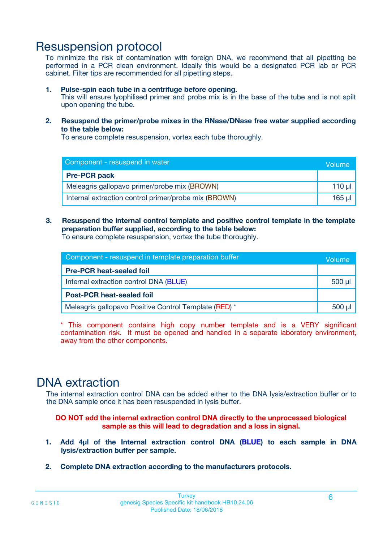# Resuspension protocol

To minimize the risk of contamination with foreign DNA, we recommend that all pipetting be performed in a PCR clean environment. Ideally this would be a designated PCR lab or PCR cabinet. Filter tips are recommended for all pipetting steps.

### **1. Pulse-spin each tube in a centrifuge before opening.**

This will ensure lyophilised primer and probe mix is in the base of the tube and is not spilt upon opening the tube.

**2. Resuspend the primer/probe mixes in the RNase/DNase free water supplied according to the table below:**

To ensure complete resuspension, vortex each tube thoroughly.

| Component - resuspend in water                       |             |  |
|------------------------------------------------------|-------------|--|
| <b>Pre-PCR pack</b>                                  |             |  |
| Meleagris gallopavo primer/probe mix (BROWN)         | $110$ $\mu$ |  |
| Internal extraction control primer/probe mix (BROWN) | 165 µl      |  |

### **3. Resuspend the internal control template and positive control template in the template preparation buffer supplied, according to the table below:**

To ensure complete resuspension, vortex the tube thoroughly.

| Component - resuspend in template preparation buffer  |             |  |
|-------------------------------------------------------|-------------|--|
| <b>Pre-PCR heat-sealed foil</b>                       |             |  |
| Internal extraction control DNA (BLUE)                | $500$ $\mu$ |  |
| <b>Post-PCR heat-sealed foil</b>                      |             |  |
| Meleagris gallopavo Positive Control Template (RED) * |             |  |

\* This component contains high copy number template and is a VERY significant contamination risk. It must be opened and handled in a separate laboratory environment, away from the other components.

# DNA extraction

The internal extraction control DNA can be added either to the DNA lysis/extraction buffer or to the DNA sample once it has been resuspended in lysis buffer.

**DO NOT add the internal extraction control DNA directly to the unprocessed biological sample as this will lead to degradation and a loss in signal.**

- **1. Add 4µl of the Internal extraction control DNA (BLUE) to each sample in DNA lysis/extraction buffer per sample.**
- **2. Complete DNA extraction according to the manufacturers protocols.**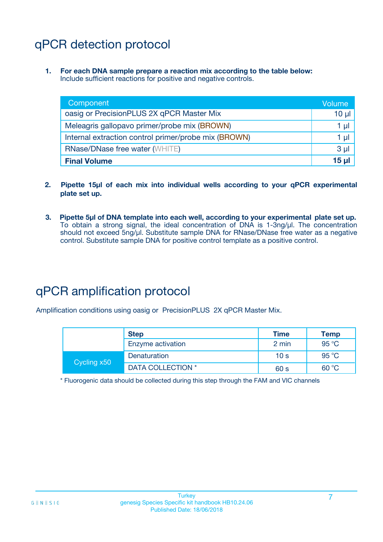# qPCR detection protocol

**1. For each DNA sample prepare a reaction mix according to the table below:** Include sufficient reactions for positive and negative controls.

| Component                                            | Volume         |
|------------------------------------------------------|----------------|
| oasig or PrecisionPLUS 2X qPCR Master Mix            | $10 \mu$       |
| Meleagris gallopavo primer/probe mix (BROWN)         | 1 <sub>µ</sub> |
| Internal extraction control primer/probe mix (BROWN) | 1 µl           |
| <b>RNase/DNase free water (WHITE)</b>                | 3 <sub>µ</sub> |
| <b>Final Volume</b>                                  | 15 u           |

- **2. Pipette 15µl of each mix into individual wells according to your qPCR experimental plate set up.**
- **3. Pipette 5µl of DNA template into each well, according to your experimental plate set up.** To obtain a strong signal, the ideal concentration of DNA is 1-3ng/µl. The concentration should not exceed 5ng/µl. Substitute sample DNA for RNase/DNase free water as a negative control. Substitute sample DNA for positive control template as a positive control.

# qPCR amplification protocol

Amplification conditions using oasig or PrecisionPLUS 2X qPCR Master Mix.

|             | <b>Step</b>       | <b>Time</b>     | Temp           |
|-------------|-------------------|-----------------|----------------|
|             | Enzyme activation | 2 min           | 95 °C          |
| Cycling x50 | Denaturation      | 10 <sub>s</sub> | 95 $\degree$ C |
|             | DATA COLLECTION * | 60 s            | 60 °C          |

\* Fluorogenic data should be collected during this step through the FAM and VIC channels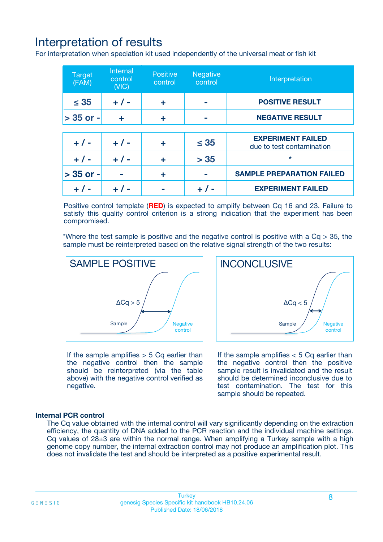# Interpretation of results

For interpretation when speciation kit used independently of the universal meat or fish kit

| <b>Target</b><br>(FAM) | <b>Internal</b><br>control<br>(VIC) | <b>Positive</b><br>control | <b>Negative</b><br>control | Interpretation                                        |
|------------------------|-------------------------------------|----------------------------|----------------------------|-------------------------------------------------------|
| $\leq 35$              | $+ 1 -$                             | ÷                          |                            | <b>POSITIVE RESULT</b>                                |
| $> 35$ or -            | ÷                                   | ÷                          |                            | <b>NEGATIVE RESULT</b>                                |
|                        |                                     |                            |                            |                                                       |
| $+ 1 -$                | $+ 1 -$                             | ÷                          | $\leq 35$                  | <b>EXPERIMENT FAILED</b><br>due to test contamination |
| $+ 1 -$                | $+ 1 -$                             | ٠                          | > 35                       | $\star$                                               |
| $> 35$ or -            |                                     | ÷                          |                            | <b>SAMPLE PREPARATION FAILED</b>                      |
|                        |                                     |                            |                            | <b>EXPERIMENT FAILED</b>                              |

Positive control template (**RED**) is expected to amplify between Cq 16 and 23. Failure to satisfy this quality control criterion is a strong indication that the experiment has been compromised.

\*Where the test sample is positive and the negative control is positive with a  $Ca > 35$ , the sample must be reinterpreted based on the relative signal strength of the two results:



If the sample amplifies  $> 5$  Cq earlier than the negative control then the sample should be reinterpreted (via the table above) with the negative control verified as negative.

Sample  $/$  / Negative control  $\Delta$ Ca < 5 **INCONCLUSIVE** 

If the sample amplifies  $< 5$  Cq earlier than the negative control then the positive sample result is invalidated and the result should be determined inconclusive due to test contamination. The test for this sample should be repeated.

### **Internal PCR control**

The Cq value obtained with the internal control will vary significantly depending on the extraction efficiency, the quantity of DNA added to the PCR reaction and the individual machine settings. Cq values of  $28\pm3$  are within the normal range. When amplifying a Turkey sample with a high genome copy number, the internal extraction control may not produce an amplification plot. This does not invalidate the test and should be interpreted as a positive experimental result.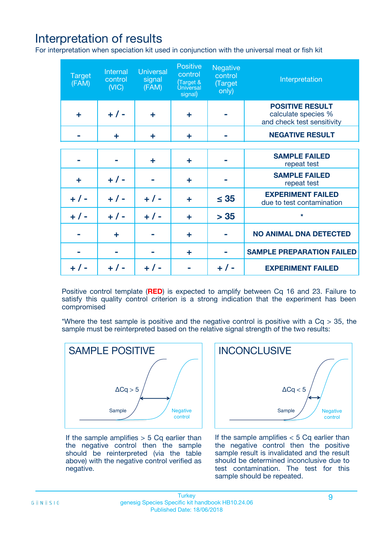# Interpretation of results

For interpretation when speciation kit used in conjunction with the universal meat or fish kit

| <b>Target</b><br>(FAM) | Internal<br>control<br>(NIC) | <b>Universal</b><br>signal<br>(FAM) | Positive<br>control<br>(Target &<br><b>Universal</b><br>signal) | <b>Negative</b><br>control<br>(Target<br>only) | Interpretation                                                              |
|------------------------|------------------------------|-------------------------------------|-----------------------------------------------------------------|------------------------------------------------|-----------------------------------------------------------------------------|
| ÷                      | $+$ / -                      | ÷                                   | ÷                                                               |                                                | <b>POSITIVE RESULT</b><br>calculate species %<br>and check test sensitivity |
|                        | ٠                            | ÷                                   | ÷                                                               |                                                | <b>NEGATIVE RESULT</b>                                                      |
|                        |                              |                                     |                                                                 |                                                |                                                                             |
|                        |                              | ÷                                   | ÷                                                               |                                                | <b>SAMPLE FAILED</b><br>repeat test                                         |
| ÷                      | $+ 1 -$                      |                                     | ÷                                                               |                                                | <b>SAMPLE FAILED</b><br>repeat test                                         |
| $+/-$                  | $+$ / -                      | $+/-$                               | ÷                                                               | $\leq 35$                                      | <b>EXPERIMENT FAILED</b><br>due to test contamination                       |
| $+ 1 -$                | $+$ / -                      | $+ 1 -$                             | ÷                                                               | > 35                                           | $\star$                                                                     |
|                        | ÷                            |                                     | ÷                                                               |                                                | <b>NO ANIMAL DNA DETECTED</b>                                               |
|                        |                              |                                     | ÷                                                               |                                                | <b>SAMPLE PREPARATION FAILED</b>                                            |
| $+  / -$               | $+ 1 -$                      |                                     |                                                                 |                                                | <b>EXPERIMENT FAILED</b>                                                    |

Positive control template (**RED**) is expected to amplify between Cq 16 and 23. Failure to satisfy this quality control criterion is a strong indication that the experiment has been compromised

\*Where the test sample is positive and the negative control is positive with a  $Cq > 35$ , the sample must be reinterpreted based on the relative signal strength of the two results:



If the sample amplifies  $> 5$  Cq earlier than the negative control then the sample should be reinterpreted (via the table above) with the negative control verified as negative.



If the sample amplifies  $< 5$  Cq earlier than the negative control then the positive sample result is invalidated and the result should be determined inconclusive due to test contamination. The test for this sample should be repeated.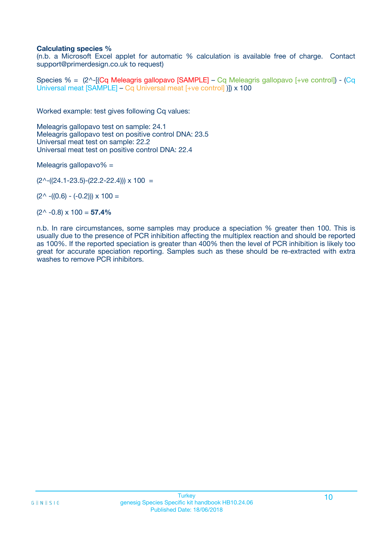### **Calculating species %**

(n.b. a Microsoft Excel applet for automatic % calculation is available free of charge. Contact support@primerdesign.co.uk to request)

Species % = (2^-[(Cq Meleagris gallopavo [SAMPLE] – Cq Meleagris gallopavo [+ve control]) - (Cq Universal meat [SAMPLE] – Cq Universal meat [+ve control] )]) x 100

Worked example: test gives following Cq values:

Meleagris gallopavo test on sample: 24.1 Meleagris gallopavo test on positive control DNA: 23.5 Universal meat test on sample: 22.2 Universal meat test on positive control DNA: 22.4

Meleagris gallopavo% =

 $(2^{\wedge}-(24.1-23.5)-(22.2-22.4))) \times 100 =$ 

 $(2^{\wedge}$  -((0.6) - (-0.2)))  $\times$  100 =

(2^ -0.8) x 100 = **57.4%**

n.b. In rare circumstances, some samples may produce a speciation % greater then 100. This is usually due to the presence of PCR inhibition affecting the multiplex reaction and should be reported as 100%. If the reported speciation is greater than 400% then the level of PCR inhibition is likely too great for accurate speciation reporting. Samples such as these should be re-extracted with extra washes to remove PCR inhibitors.